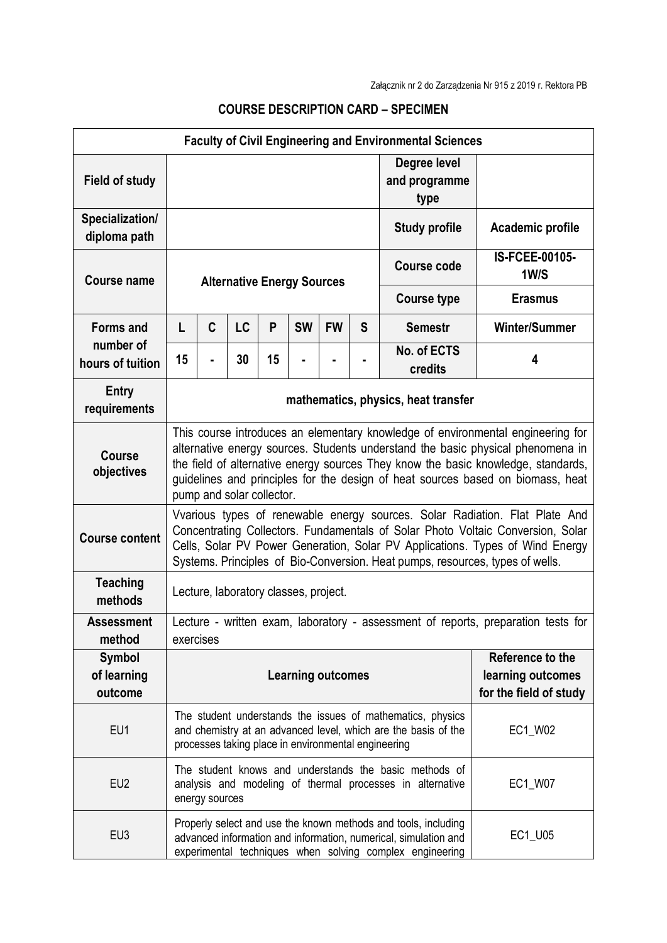| <b>Faculty of Civil Engineering and Environmental Sciences</b> |                                                                                                                                                                                                                                                                                                                                                                         |   |    |    |           |                                             |                                       |                        |                               |
|----------------------------------------------------------------|-------------------------------------------------------------------------------------------------------------------------------------------------------------------------------------------------------------------------------------------------------------------------------------------------------------------------------------------------------------------------|---|----|----|-----------|---------------------------------------------|---------------------------------------|------------------------|-------------------------------|
| <b>Field of study</b>                                          |                                                                                                                                                                                                                                                                                                                                                                         |   |    |    |           |                                             | Degree level<br>and programme<br>type |                        |                               |
| Specialization/<br>diploma path                                |                                                                                                                                                                                                                                                                                                                                                                         |   |    |    |           |                                             | <b>Study profile</b>                  | Academic profile       |                               |
| <b>Course name</b>                                             | <b>Alternative Energy Sources</b>                                                                                                                                                                                                                                                                                                                                       |   |    |    |           |                                             |                                       | <b>Course code</b>     | <b>IS-FCEE-00105-</b><br>1W/S |
|                                                                |                                                                                                                                                                                                                                                                                                                                                                         |   |    |    |           |                                             |                                       | <b>Course type</b>     | <b>Erasmus</b>                |
| <b>Forms and</b><br>number of<br>hours of tuition              | L                                                                                                                                                                                                                                                                                                                                                                       | C | LC | P  | <b>SW</b> | <b>FW</b>                                   | S                                     | <b>Semestr</b>         | <b>Winter/Summer</b>          |
|                                                                | 15                                                                                                                                                                                                                                                                                                                                                                      |   | 30 | 15 |           |                                             |                                       | No. of ECTS<br>credits | 4                             |
| <b>Entry</b><br>requirements                                   | mathematics, physics, heat transfer                                                                                                                                                                                                                                                                                                                                     |   |    |    |           |                                             |                                       |                        |                               |
| <b>Course</b><br>objectives                                    | This course introduces an elementary knowledge of environmental engineering for<br>alternative energy sources. Students understand the basic physical phenomena in<br>the field of alternative energy sources They know the basic knowledge, standards,<br>guidelines and principles for the design of heat sources based on biomass, heat<br>pump and solar collector. |   |    |    |           |                                             |                                       |                        |                               |
| <b>Course content</b>                                          | Vvarious types of renewable energy sources. Solar Radiation. Flat Plate And<br>Concentrating Collectors. Fundamentals of Solar Photo Voltaic Conversion, Solar<br>Cells, Solar PV Power Generation, Solar PV Applications. Types of Wind Energy<br>Systems. Principles of Bio-Conversion. Heat pumps, resources, types of wells.                                        |   |    |    |           |                                             |                                       |                        |                               |
| <b>Teaching</b><br>methods                                     | Lecture, laboratory classes, project.                                                                                                                                                                                                                                                                                                                                   |   |    |    |           |                                             |                                       |                        |                               |
| <b>Assessment</b><br>method                                    | Lecture - written exam, laboratory - assessment of reports, preparation tests for<br>exercises                                                                                                                                                                                                                                                                          |   |    |    |           |                                             |                                       |                        |                               |
| <b>Symbol</b><br>of learning<br>outcome                        | Reference to the<br><b>Learning outcomes</b>                                                                                                                                                                                                                                                                                                                            |   |    |    |           | learning outcomes<br>for the field of study |                                       |                        |                               |
| EU1                                                            | The student understands the issues of mathematics, physics<br>EC1_W02<br>and chemistry at an advanced level, which are the basis of the<br>processes taking place in environmental engineering                                                                                                                                                                          |   |    |    |           |                                             |                                       |                        |                               |
| EU <sub>2</sub>                                                | The student knows and understands the basic methods of<br>analysis and modeling of thermal processes in alternative<br>energy sources                                                                                                                                                                                                                                   |   |    |    |           |                                             | EC1_W07                               |                        |                               |
| EU <sub>3</sub>                                                | Properly select and use the known methods and tools, including<br>advanced information and information, numerical, simulation and<br>experimental techniques when solving complex engineering                                                                                                                                                                           |   |    |    |           | EC1_U05                                     |                                       |                        |                               |

## **COURSE DESCRIPTION CARD – SPECIMEN**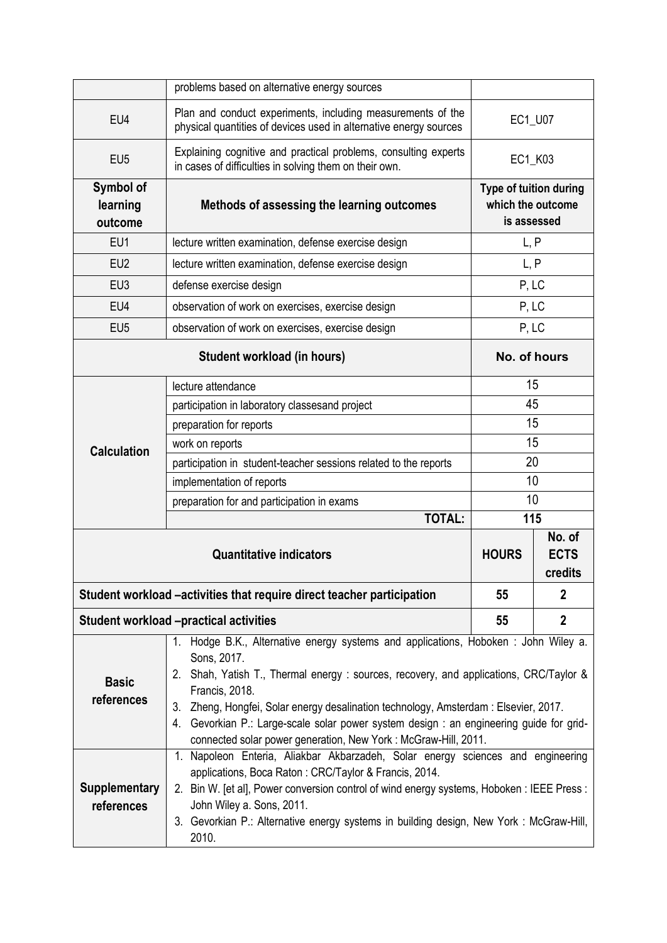|                                                                        | problems based on alternative energy sources                                                                                                                                                                                                                                                                                                                                                                                                                        |                                                            |                |  |  |  |
|------------------------------------------------------------------------|---------------------------------------------------------------------------------------------------------------------------------------------------------------------------------------------------------------------------------------------------------------------------------------------------------------------------------------------------------------------------------------------------------------------------------------------------------------------|------------------------------------------------------------|----------------|--|--|--|
| EU4                                                                    | Plan and conduct experiments, including measurements of the<br>physical quantities of devices used in alternative energy sources                                                                                                                                                                                                                                                                                                                                    | EC1_U07                                                    |                |  |  |  |
| EU <sub>5</sub>                                                        | Explaining cognitive and practical problems, consulting experts<br>in cases of difficulties in solving them on their own.                                                                                                                                                                                                                                                                                                                                           | EC1_K03                                                    |                |  |  |  |
| Symbol of<br>learning<br>outcome                                       | Methods of assessing the learning outcomes                                                                                                                                                                                                                                                                                                                                                                                                                          | Type of tuition during<br>which the outcome<br>is assessed |                |  |  |  |
| EU1                                                                    | lecture written examination, defense exercise design                                                                                                                                                                                                                                                                                                                                                                                                                | L, P                                                       |                |  |  |  |
| EU <sub>2</sub>                                                        | lecture written examination, defense exercise design                                                                                                                                                                                                                                                                                                                                                                                                                | L, P                                                       |                |  |  |  |
| EU <sub>3</sub>                                                        | defense exercise design                                                                                                                                                                                                                                                                                                                                                                                                                                             | P, LC                                                      |                |  |  |  |
| EU4                                                                    | observation of work on exercises, exercise design                                                                                                                                                                                                                                                                                                                                                                                                                   | P, LC                                                      |                |  |  |  |
| EU <sub>5</sub>                                                        | observation of work on exercises, exercise design                                                                                                                                                                                                                                                                                                                                                                                                                   | P, LC                                                      |                |  |  |  |
|                                                                        | No. of hours                                                                                                                                                                                                                                                                                                                                                                                                                                                        |                                                            |                |  |  |  |
| <b>Calculation</b>                                                     | lecture attendance                                                                                                                                                                                                                                                                                                                                                                                                                                                  | 15                                                         |                |  |  |  |
|                                                                        | participation in laboratory classesand project                                                                                                                                                                                                                                                                                                                                                                                                                      | 45                                                         |                |  |  |  |
|                                                                        | preparation for reports                                                                                                                                                                                                                                                                                                                                                                                                                                             | 15                                                         |                |  |  |  |
|                                                                        | work on reports                                                                                                                                                                                                                                                                                                                                                                                                                                                     | 15                                                         |                |  |  |  |
|                                                                        | participation in student-teacher sessions related to the reports                                                                                                                                                                                                                                                                                                                                                                                                    | 20                                                         |                |  |  |  |
|                                                                        | implementation of reports                                                                                                                                                                                                                                                                                                                                                                                                                                           | 10                                                         |                |  |  |  |
|                                                                        | preparation for and participation in exams<br><b>TOTAL:</b>                                                                                                                                                                                                                                                                                                                                                                                                         | 10<br>115                                                  |                |  |  |  |
|                                                                        | <b>HOURS</b>                                                                                                                                                                                                                                                                                                                                                                                                                                                        | No. of<br><b>ECTS</b><br>credits                           |                |  |  |  |
| Student workload –activities that require direct teacher participation | 55                                                                                                                                                                                                                                                                                                                                                                                                                                                                  | $\overline{2}$                                             |                |  |  |  |
|                                                                        | <b>Student workload -practical activities</b>                                                                                                                                                                                                                                                                                                                                                                                                                       | 55                                                         | $\overline{2}$ |  |  |  |
| <b>Basic</b><br>references                                             | Hodge B.K., Alternative energy systems and applications, Hoboken: John Wiley a.<br>1.<br>Sons, 2017.<br>2. Shah, Yatish T., Thermal energy: sources, recovery, and applications, CRC/Taylor &<br>Francis, 2018.<br>3. Zheng, Hongfei, Solar energy desalination technology, Amsterdam: Elsevier, 2017.<br>4. Gevorkian P.: Large-scale solar power system design : an engineering guide for grid-<br>connected solar power generation, New York: McGraw-Hill, 2011. |                                                            |                |  |  |  |
| <b>Supplementary</b><br>references                                     | 1. Napoleon Enteria, Aliakbar Akbarzadeh, Solar energy sciences and engineering<br>applications, Boca Raton: CRC/Taylor & Francis, 2014.<br>2. Bin W. [et al], Power conversion control of wind energy systems, Hoboken : IEEE Press :<br>John Wiley a. Sons, 2011.<br>3. Gevorkian P.: Alternative energy systems in building design, New York: McGraw-Hill,<br>2010.                                                                                              |                                                            |                |  |  |  |